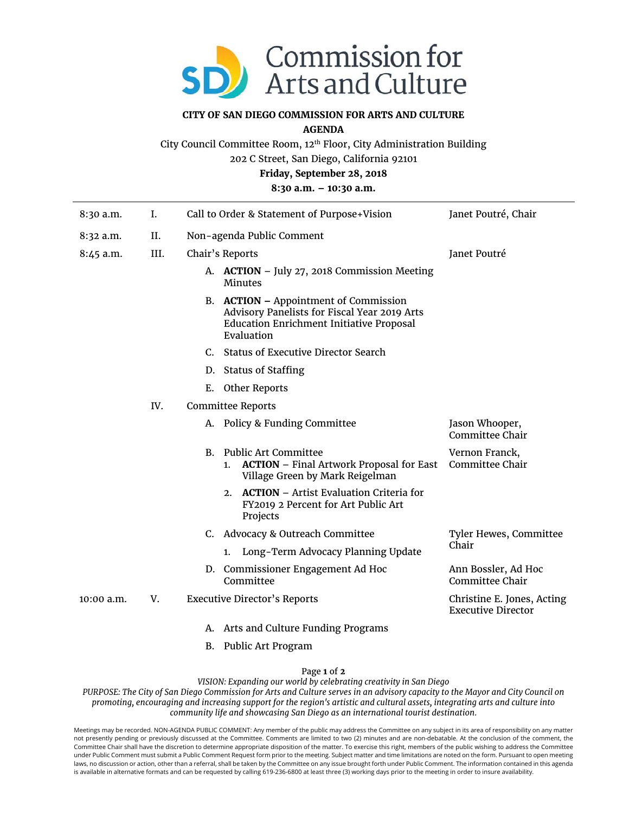

## **CITY OF SAN DIEGO COMMISSION FOR ARTS AND CULTURE**

**AGENDA** 

City Council Committee Room, 12th Floor, City Administration Building

202 C Street, San Diego, California 92101

**Friday, September 28, 2018** 

**8:30 a.m. – 10:30 a.m.** 

| $8:30$ a.m.  | I.   | Call to Order & Statement of Purpose+Vision                                                                                                            | Janet Poutré, Chair                                     |  |  |
|--------------|------|--------------------------------------------------------------------------------------------------------------------------------------------------------|---------------------------------------------------------|--|--|
| $8:32$ a.m.  | II.  | Non-agenda Public Comment                                                                                                                              |                                                         |  |  |
| 8:45 a.m.    | III. | Chair's Reports                                                                                                                                        | Janet Poutré                                            |  |  |
|              |      | A. ACTION - July 27, 2018 Commission Meeting<br>Minutes                                                                                                |                                                         |  |  |
|              |      | B. ACTION – Appointment of Commission<br>Advisory Panelists for Fiscal Year 2019 Arts<br><b>Education Enrichment Initiative Proposal</b><br>Evaluation |                                                         |  |  |
|              |      | C. Status of Executive Director Search                                                                                                                 |                                                         |  |  |
|              |      | D. Status of Staffing                                                                                                                                  |                                                         |  |  |
|              |      | Other Reports<br>Е.                                                                                                                                    |                                                         |  |  |
|              | IV.  | <b>Committee Reports</b>                                                                                                                               |                                                         |  |  |
|              |      | A. Policy & Funding Committee                                                                                                                          | Jason Whooper,<br>Committee Chair                       |  |  |
|              |      | <b>Public Art Committee</b><br><b>B.</b><br><b>ACTION</b> – Final Artwork Proposal for East<br>1.<br>Village Green by Mark Reigelman                   | Vernon Franck,<br>Committee Chair                       |  |  |
|              |      | 2. ACTION – Artist Evaluation Criteria for<br>FY2019 2 Percent for Art Public Art<br>Projects                                                          |                                                         |  |  |
|              |      | C. Advocacy & Outreach Committee                                                                                                                       | Tyler Hewes, Committee                                  |  |  |
|              |      | Long-Term Advocacy Planning Update<br>1.                                                                                                               | Chair                                                   |  |  |
|              |      | D. Commissioner Engagement Ad Hoc<br>Committee                                                                                                         | Ann Bossler, Ad Hoc<br>Committee Chair                  |  |  |
| $10:00$ a.m. | V.   | <b>Executive Director's Reports</b>                                                                                                                    | Christine E. Jones, Acting<br><b>Executive Director</b> |  |  |
|              |      | A. Arts and Culture Funding Programs                                                                                                                   |                                                         |  |  |

B. Public Art Program

Page **1** of **2**

*VISION: Expanding our world by celebrating creativity in San Diego* 

*PURPOSE: The City of San Diego Commission for Arts and Culture serves in an advisory capacity to the Mayor and City Council on promoting, encouraging and increasing support for the region's artistic and cultural assets, integrating arts and culture into community life and showcasing San Diego as an international tourist destination.* 

Meetings may be recorded. NON-AGENDA PUBLIC COMMENT: Any member of the public may address the Committee on any subject in its area of responsibility on any matter not presently pending or previously discussed at the Committee. Comments are limited to two (2) minutes and are non-debatable. At the conclusion of the comment, the Committee Chair shall have the discretion to determine appropriate disposition of the matter. To exercise this right, members of the public wishing to address the Committee under Public Comment must submit a Public Comment Request form prior to the meeting. Subject matter and time limitations are noted on the form. Pursuant to open meeting laws, no discussion or action, other than a referral, shall be taken by the Committee on any issue brought forth under Public Comment. The information contained in this agenda is available in alternative formats and can be requested by calling 619-236-6800 at least three (3) working days prior to the meeting in order to insure availability.